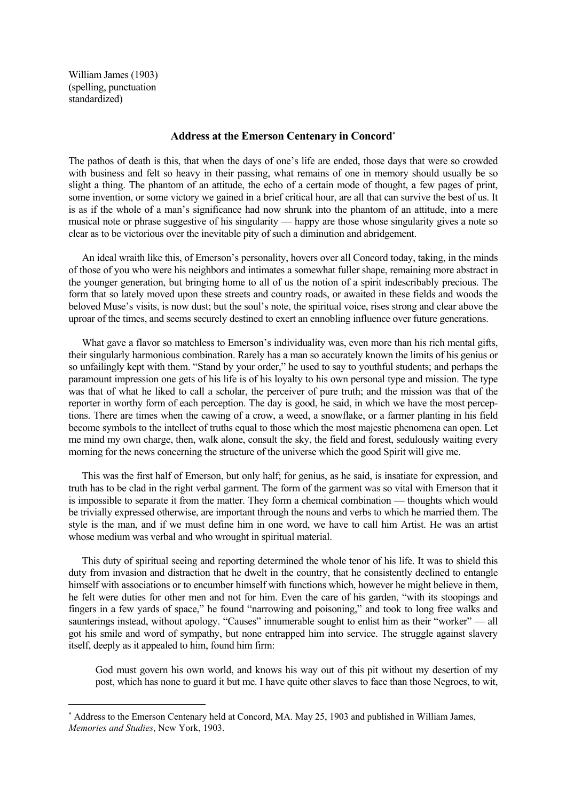William James (1903) (spelling, punctuation standardized)

i<br>Li

## **Address at the Emerson Centenary in Concord**[∗](#page-0-0)

The pathos of death is this, that when the days of one's life are ended, those days that were so crowded with business and felt so heavy in their passing, what remains of one in memory should usually be so slight a thing. The phantom of an attitude, the echo of a certain mode of thought, a few pages of print, some invention, or some victory we gained in a brief critical hour, are all that can survive the best of us. It is as if the whole of a man's significance had now shrunk into the phantom of an attitude, into a mere musical note or phrase suggestive of his singularity — happy are those whose singularity gives a note so clear as to be victorious over the inevitable pity of such a diminution and abridgement.

An ideal wraith like this, of Emerson's personality, hovers over all Concord today, taking, in the minds of those of you who were his neighbors and intimates a somewhat fuller shape, remaining more abstract in the younger generation, but bringing home to all of us the notion of a spirit indescribably precious. The form that so lately moved upon these streets and country roads, or awaited in these fields and woods the beloved Muse's visits, is now dust; but the soul's note, the spiritual voice, rises strong and clear above the uproar of the times, and seems securely destined to exert an ennobling influence over future generations.

 What gave a flavor so matchless to Emerson's individuality was, even more than his rich mental gifts, their singularly harmonious combination. Rarely has a man so accurately known the limits of his genius or so unfailingly kept with them. "Stand by your order," he used to say to youthful students; and perhaps the paramount impression one gets of his life is of his loyalty to his own personal type and mission. The type was that of what he liked to call a scholar, the perceiver of pure truth; and the mission was that of the reporter in worthy form of each perception. The day is good, he said, in which we have the most perceptions. There are times when the cawing of a crow, a weed, a snowflake, or a farmer planting in his field become symbols to the intellect of truths equal to those which the most majestic phenomena can open. Let me mind my own charge, then, walk alone, consult the sky, the field and forest, sedulously waiting every morning for the news concerning the structure of the universe which the good Spirit will give me.

 This was the first half of Emerson, but only half; for genius, as he said, is insatiate for expression, and truth has to be clad in the right verbal garment. The form of the garment was so vital with Emerson that it is impossible to separate it from the matter. They form a chemical combination — thoughts which would be trivially expressed otherwise, are important through the nouns and verbs to which he married them. The style is the man, and if we must define him in one word, we have to call him Artist. He was an artist whose medium was verbal and who wrought in spiritual material.

 This duty of spiritual seeing and reporting determined the whole tenor of his life. It was to shield this duty from invasion and distraction that he dwelt in the country, that he consistently declined to entangle himself with associations or to encumber himself with functions which, however he might believe in them, he felt were duties for other men and not for him. Even the care of his garden, "with its stoopings and fingers in a few yards of space," he found "narrowing and poisoning," and took to long free walks and saunterings instead, without apology. "Causes" innumerable sought to enlist him as their "worker" — all got his smile and word of sympathy, but none entrapped him into service. The struggle against slavery itself, deeply as it appealed to him, found him firm:

 God must govern his own world, and knows his way out of this pit without my desertion of my post, which has none to guard it but me. I have quite other slaves to face than those Negroes, to wit,

<span id="page-0-0"></span><sup>∗</sup> Address to the Emerson Centenary held at Concord, MA. May 25, 1903 and published in William James, *Memories and Studies*, New York, 1903.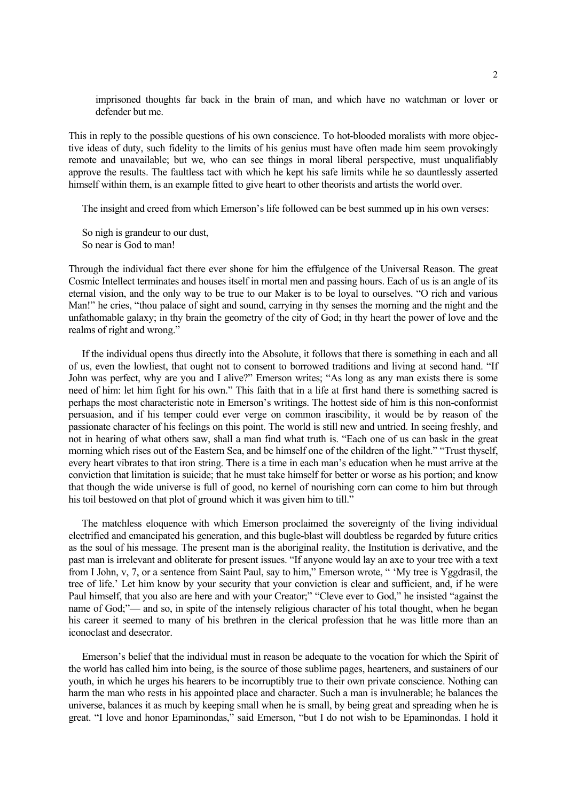imprisoned thoughts far back in the brain of man, and which have no watchman or lover or defender but me.

This in reply to the possible questions of his own conscience. To hot-blooded moralists with more objective ideas of duty, such fidelity to the limits of his genius must have often made him seem provokingly remote and unavailable; but we, who can see things in moral liberal perspective, must unqualifiably approve the results. The faultless tact with which he kept his safe limits while he so dauntlessly asserted himself within them, is an example fitted to give heart to other theorists and artists the world over.

The insight and creed from which Emerson's life followed can be best summed up in his own verses:

So nigh is grandeur to our dust, So near is God to man!

Through the individual fact there ever shone for him the effulgence of the Universal Reason. The great Cosmic Intellect terminates and houses itself in mortal men and passing hours. Each of us is an angle of its eternal vision, and the only way to be true to our Maker is to be loyal to ourselves. "O rich and various Man!" he cries, "thou palace of sight and sound, carrying in thy senses the morning and the night and the unfathomable galaxy; in thy brain the geometry of the city of God; in thy heart the power of love and the realms of right and wrong."

 If the individual opens thus directly into the Absolute, it follows that there is something in each and all of us, even the lowliest, that ought not to consent to borrowed traditions and living at second hand. "If John was perfect, why are you and I alive?" Emerson writes; "As long as any man exists there is some need of him: let him fight for his own." This faith that in a life at first hand there is something sacred is perhaps the most characteristic note in Emerson's writings. The hottest side of him is this non-conformist persuasion, and if his temper could ever verge on common irascibility, it would be by reason of the passionate character of his feelings on this point. The world is still new and untried. In seeing freshly, and not in hearing of what others saw, shall a man find what truth is. "Each one of us can bask in the great morning which rises out of the Eastern Sea, and be himself one of the children of the light." "Trust thyself, every heart vibrates to that iron string. There is a time in each man's education when he must arrive at the conviction that limitation is suicide; that he must take himself for better or worse as his portion; and know that though the wide universe is full of good, no kernel of nourishing corn can come to him but through his toil bestowed on that plot of ground which it was given him to till."

 The matchless eloquence with which Emerson proclaimed the sovereignty of the living individual electrified and emancipated his generation, and this bugle-blast will doubtless be regarded by future critics as the soul of his message. The present man is the aboriginal reality, the Institution is derivative, and the past man is irrelevant and obliterate for present issues. "If anyone would lay an axe to your tree with a text from I John, v, 7, or a sentence from Saint Paul, say to him," Emerson wrote, " 'My tree is Yggdrasil, the tree of life.' Let him know by your security that your conviction is clear and sufficient, and, if he were Paul himself, that you also are here and with your Creator;" "Cleve ever to God," he insisted "against the name of God;"— and so, in spite of the intensely religious character of his total thought, when he began his career it seemed to many of his brethren in the clerical profession that he was little more than an iconoclast and desecrator.

 Emerson's belief that the individual must in reason be adequate to the vocation for which the Spirit of the world has called him into being, is the source of those sublime pages, hearteners, and sustainers of our youth, in which he urges his hearers to be incorruptibly true to their own private conscience. Nothing can harm the man who rests in his appointed place and character. Such a man is invulnerable; he balances the universe, balances it as much by keeping small when he is small, by being great and spreading when he is great. "I love and honor Epaminondas," said Emerson, "but I do not wish to be Epaminondas. I hold it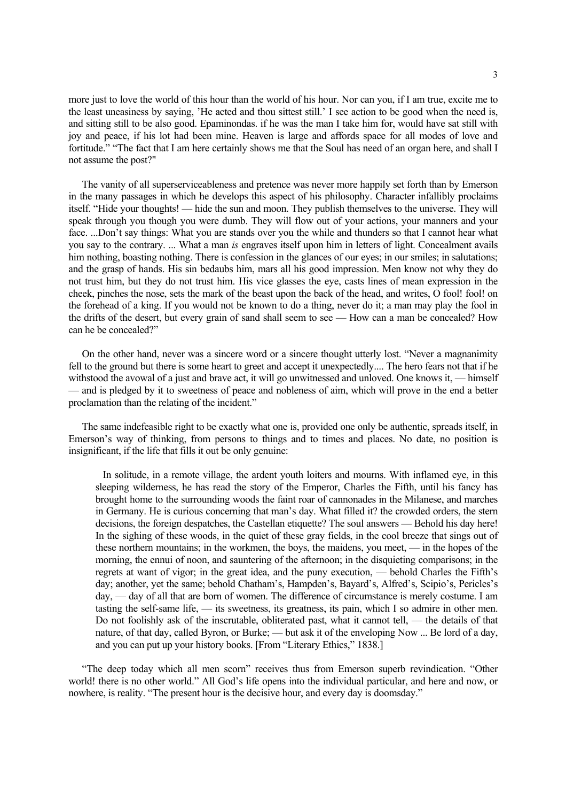more just to love the world of this hour than the world of his hour. Nor can you, if I am true, excite me to the least uneasiness by saying, 'He acted and thou sittest still.' I see action to be good when the need is, and sitting still to be also good. Epaminondas. if he was the man I take him for, would have sat still with joy and peace, if his lot had been mine. Heaven is large and affords space for all modes of love and fortitude." "The fact that I am here certainly shows me that the Soul has need of an organ here, and shall I not assume the post?"

 The vanity of all superserviceableness and pretence was never more happily set forth than by Emerson in the many passages in which he develops this aspect of his philosophy. Character infallibly proclaims itself. "Hide your thoughts! — hide the sun and moon. They publish themselves to the universe. They will speak through you though you were dumb. They will flow out of your actions, your manners and your face. ...Don't say things: What you are stands over you the while and thunders so that I cannot hear what you say to the contrary. ... What a man *is* engraves itself upon him in letters of light. Concealment avails him nothing, boasting nothing. There is confession in the glances of our eyes; in our smiles; in salutations; and the grasp of hands. His sin bedaubs him, mars all his good impression. Men know not why they do not trust him, but they do not trust him. His vice glasses the eye, casts lines of mean expression in the cheek, pinches the nose, sets the mark of the beast upon the back of the head, and writes, O fool! fool! on the forehead of a king. If you would not be known to do a thing, never do it; a man may play the fool in the drifts of the desert, but every grain of sand shall seem to see — How can a man be concealed? How can he be concealed?"

 On the other hand, never was a sincere word or a sincere thought utterly lost. "Never a magnanimity fell to the ground but there is some heart to greet and accept it unexpectedly.... The hero fears not that if he withstood the avowal of a just and brave act, it will go unwitnessed and unloved. One knows it, — himself — and is pledged by it to sweetness of peace and nobleness of aim, which will prove in the end a better proclamation than the relating of the incident."

 The same indefeasible right to be exactly what one is, provided one only be authentic, spreads itself, in Emerson's way of thinking, from persons to things and to times and places. No date, no position is insignificant, if the life that fills it out be only genuine:

 In solitude, in a remote village, the ardent youth loiters and mourns. With inflamed eye, in this sleeping wilderness, he has read the story of the Emperor, Charles the Fifth, until his fancy has brought home to the surrounding woods the faint roar of cannonades in the Milanese, and marches in Germany. He is curious concerning that man's day. What filled it? the crowded orders, the stern decisions, the foreign despatches, the Castellan etiquette? The soul answers — Behold his day here! In the sighing of these woods, in the quiet of these gray fields, in the cool breeze that sings out of these northern mountains; in the workmen, the boys, the maidens, you meet, — in the hopes of the morning, the ennui of noon, and sauntering of the afternoon; in the disquieting comparisons; in the regrets at want of vigor; in the great idea, and the puny execution, — behold Charles the Fifth's day; another, yet the same; behold Chatham's, Hampden's, Bayard's, Alfred's, Scipio's, Pericles's day, — day of all that are born of women. The difference of circumstance is merely costume. I am tasting the self-same life, — its sweetness, its greatness, its pain, which I so admire in other men. Do not foolishly ask of the inscrutable, obliterated past, what it cannot tell, — the details of that nature, of that day, called Byron, or Burke; — but ask it of the enveloping Now ... Be lord of a day, and you can put up your history books. [From "Literary Ethics," 1838.]

 "The deep today which all men scorn" receives thus from Emerson superb revindication. "Other world! there is no other world." All God's life opens into the individual particular, and here and now, or nowhere, is reality. "The present hour is the decisive hour, and every day is doomsday."